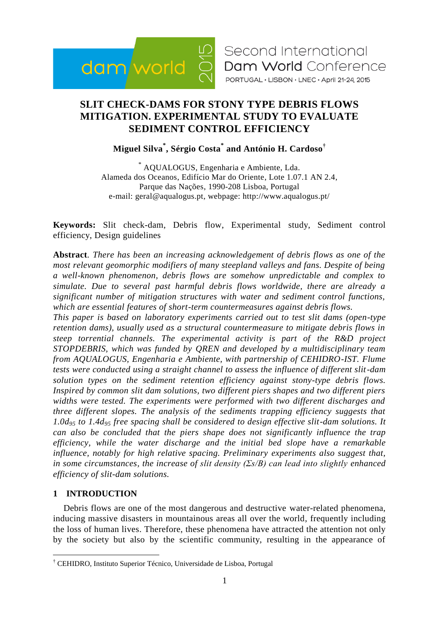

# **SLIT CHECK-DAMS FOR STONY TYPE DEBRIS FLOWS MITIGATION. EXPERIMENTAL STUDY TO EVALUATE SEDIMENT CONTROL EFFICIENCY**

**Miguel Silva\* , Sérgio Costa\* and António H. Cardoso†**

\* AQUALOGUS, Engenharia e Ambiente, Lda. Alameda dos Oceanos, Edifício Mar do Oriente, Lote 1.07.1 AN 2.4, Parque das Nações, 1990-208 Lisboa, Portugal e-mail: geral@aqualogus.pt, webpage: http://www.aqualogus.pt/

**Keywords:** Slit check-dam, Debris flow, Experimental study, Sediment control efficiency, Design guidelines

**Abstract***. There has been an increasing acknowledgement of debris flows as one of the most relevant geomorphic modifiers of many steepland valleys and fans. Despite of being a well-known phenomenon, debris flows are somehow unpredictable and complex to simulate. Due to several past harmful debris flows worldwide, there are already a significant number of mitigation structures with water and sediment control functions, which are essential features of short-term countermeasures against debris flows.*

*This paper is based on laboratory experiments carried out to test slit dams (open-type retention dams), usually used as a structural countermeasure to mitigate debris flows in steep torrential channels. The experimental activity is part of the R&D project STOPDEBRIS, which was funded by QREN and developed by a multidisciplinary team from AQUALOGUS, Engenharia e Ambiente, with partnership of CEHIDRO-IST. Flume tests were conducted using a straight channel to assess the influence of different slit-dam solution types on the sediment retention efficiency against stony-type debris flows. Inspired by common slit dam solutions, two different piers shapes and two different piers widths were tested. The experiments were performed with two different discharges and three different slopes. The analysis of the sediments trapping efficiency suggests that 1.0d<sup>95</sup> to 1.4d<sup>95</sup> free spacing shall be considered to design effective slit-dam solutions. It can also be concluded that the piers shape does not significantly influence the trap efficiency, while the water discharge and the initial bed slope have a remarkable influence, notably for high relative spacing. Preliminary experiments also suggest that, in some circumstances, the increase of slit density (Σs/B) can lead into slightly enhanced efficiency of slit-dam solutions.*

# **1 INTRODUCTION**

1

Debris flows are one of the most dangerous and destructive water-related phenomena, inducing massive disasters in mountainous areas all over the world, frequently including the loss of human lives. Therefore, these phenomena have attracted the attention not only by the society but also by the scientific community, resulting in the appearance of

<sup>†</sup> CEHIDRO, Instituto Superior Técnico, Universidade de Lisboa, Portugal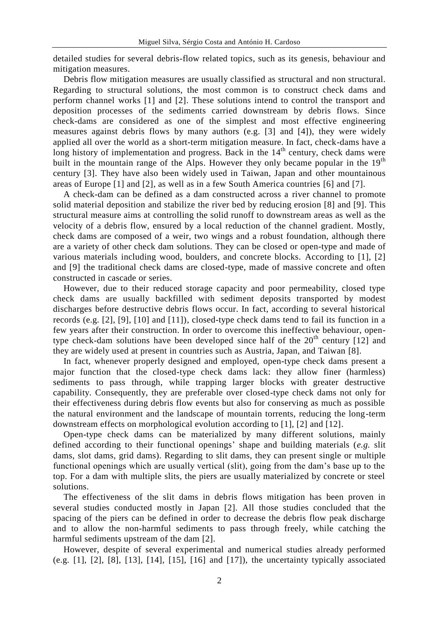detailed studies for several debris-flow related topics, such as its genesis, behaviour and mitigation measures.

Debris flow mitigation measures are usually classified as structural and non structural. Regarding to structural solutions, the most common is to construct check dams and perform channel works [1] and [2]. These solutions intend to control the transport and deposition processes of the sediments carried downstream by debris flows. Since check-dams are considered as one of the simplest and most effective engineering measures against debris flows by many authors (e.g. [3] and [4]), they were widely applied all over the world as a short-term mitigation measure. In fact, check-dams have a long history of implementation and progress. Back in the  $14<sup>th</sup>$  century, check dams were built in the mountain range of the Alps. However they only became popular in the  $19<sup>th</sup>$ century [3]. They have also been widely used in Taiwan, Japan and other mountainous areas of Europe [1] and [2], as well as in a few South America countries [6] and [7].

A check-dam can be defined as a dam constructed across a river channel to promote solid material deposition and stabilize the river bed by reducing erosion [8] and [9]. This structural measure aims at controlling the solid runoff to downstream areas as well as the velocity of a debris flow, ensured by a local reduction of the channel gradient. Mostly, check dams are composed of a weir, two wings and a robust foundation, although there are a variety of other check dam solutions. They can be closed or open-type and made of various materials including wood, boulders, and concrete blocks. According to [1], [2] and [9] the traditional check dams are closed-type, made of massive concrete and often constructed in cascade or series.

However, due to their reduced storage capacity and poor permeability, closed type check dams are usually backfilled with sediment deposits transported by modest discharges before destructive debris flows occur. In fact, according to several historical records (e.g. [2], [9], [10] and [11]), closed-type check dams tend to fail its function in a few years after their construction. In order to overcome this ineffective behaviour, opentype check-dam solutions have been developed since half of the  $20<sup>th</sup>$  century [12] and they are widely used at present in countries such as Austria, Japan, and Taiwan [8].

In fact, whenever properly designed and employed, open-type check dams present a major function that the closed-type check dams lack: they allow finer (harmless) sediments to pass through, while trapping larger blocks with greater destructive capability. Consequently, they are preferable over closed-type check dams not only for their effectiveness during debris flow events but also for conserving as much as possible the natural environment and the landscape of mountain torrents, reducing the long-term downstream effects on morphological evolution according to [1], [2] and [12].

Open-type check dams can be materialized by many different solutions, mainly defined according to their functional openings' shape and building materials (*e.g.* slit dams, slot dams, grid dams). Regarding to slit dams, they can present single or multiple functional openings which are usually vertical (slit), going from the dam's base up to the top. For a dam with multiple slits, the piers are usually materialized by concrete or steel solutions.

The effectiveness of the slit dams in debris flows mitigation has been proven in several studies conducted mostly in Japan [2]. All those studies concluded that the spacing of the piers can be defined in order to decrease the debris flow peak discharge and to allow the non-harmful sediments to pass through freely, while catching the harmful sediments upstream of the dam [2].

However, despite of several experimental and numerical studies already performed (e.g. [1], [2], [8], [13], [14], [15], [16] and [17]), the uncertainty typically associated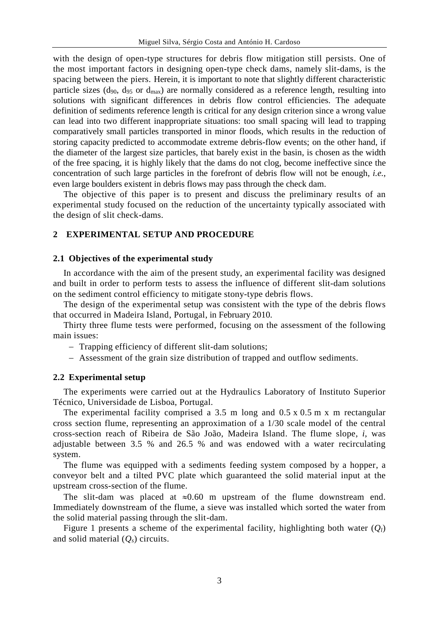with the design of open-type structures for debris flow mitigation still persists. One of the most important factors in designing open-type check dams, namely slit-dams, is the spacing between the piers. Herein, it is important to note that slightly different characteristic particle sizes ( $d_{90}$ ,  $d_{95}$  or  $d_{max}$ ) are normally considered as a reference length, resulting into solutions with significant differences in debris flow control efficiencies. The adequate definition of sediments reference length is critical for any design criterion since a wrong value can lead into two different inappropriate situations: too small spacing will lead to trapping comparatively small particles transported in minor floods, which results in the reduction of storing capacity predicted to accommodate extreme debris-flow events; on the other hand, if the diameter of the largest size particles, that barely exist in the basin, is chosen as the width of the free spacing, it is highly likely that the dams do not clog, become ineffective since the concentration of such large particles in the forefront of debris flow will not be enough, *i.e.*, even large boulders existent in debris flows may pass through the check dam.

The objective of this paper is to present and discuss the preliminary results of an experimental study focused on the reduction of the uncertainty typically associated with the design of slit check-dams.

## **2 EXPERIMENTAL SETUP AND PROCEDURE**

## **2.1 Objectives of the experimental study**

In accordance with the aim of the present study, an experimental facility was designed and built in order to perform tests to assess the influence of different slit-dam solutions on the sediment control efficiency to mitigate stony-type debris flows.

The design of the experimental setup was consistent with the type of the debris flows that occurred in Madeira Island, Portugal, in February 2010.

Thirty three flume tests were performed, focusing on the assessment of the following main issues:

- Trapping efficiency of different slit-dam solutions;

Assessment of the grain size distribution of trapped and outflow sediments.

## **2.2 Experimental setup**

The experiments were carried out at the Hydraulics Laboratory of Instituto Superior Técnico, Universidade de Lisboa, Portugal.

The experimental facility comprised a 3.5 m long and 0.5 x 0.5 m x m rectangular cross section flume, representing an approximation of a 1/30 scale model of the central cross-section reach of Ribeira de São João, Madeira Island. The flume slope, *i*, was adjustable between 3.5 % and 26.5 % and was endowed with a water recirculating system.

The flume was equipped with a sediments feeding system composed by a hopper, a conveyor belt and a tilted PVC plate which guaranteed the solid material input at the upstream cross-section of the flume.

The slit-dam was placed at  $\approx 0.60$  m upstream of the flume downstream end. Immediately downstream of the flume, a sieve was installed which sorted the water from the solid material passing through the slit-dam.

Figure 1 presents a scheme of the experimental facility, highlighting both water  $(Q_l)$ and solid material (*Qs*) circuits.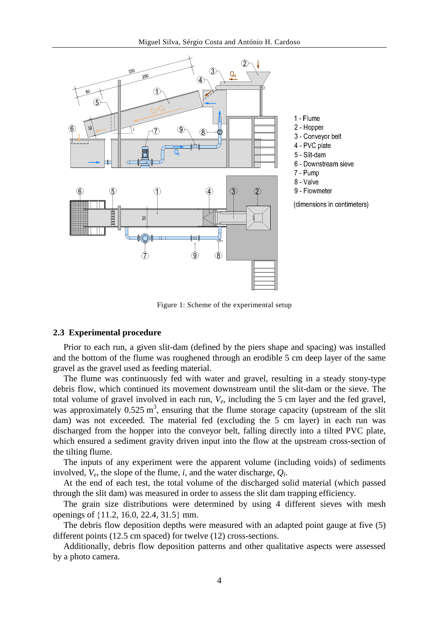

Figure 1: Scheme of the experimental setup

#### **2.3 Experimental procedure**

Prior to each run, a given slit-dam (defined by the piers shape and spacing) was installed and the bottom of the flume was roughened through an erodible 5 cm deep layer of the same gravel as the gravel used as feeding material.

The flume was continuously fed with water and gravel, resulting in a steady stony-type debris flow, which continued its movement downstream until the slit-dam or the sieve. The total volume of gravel involved in each run, *Ve*, including the 5 cm layer and the fed gravel, was approximately  $0.525 \text{ m}^3$ , ensuring that the flume storage capacity (upstream of the slit dam) was not exceeded. The material fed (excluding the 5 cm layer) in each run was discharged from the hopper into the conveyor belt, falling directly into a tilted PVC plate, which ensured a sediment gravity driven input into the flow at the upstream cross-section of the tilting flume.

The inputs of any experiment were the apparent volume (including voids) of sediments involved,  $V_e$ , the slope of the flume, *i*, and the water discharge,  $Q_l$ .

At the end of each test, the total volume of the discharged solid material (which passed through the slit dam) was measured in order to assess the slit dam trapping efficiency.

The grain size distributions were determined by using 4 different sieves with mesh openings of  $\{11.2, 16.0, 22.4, 31.5\}$  mm.

The debris flow deposition depths were measured with an adapted point gauge at five (5) different points (12.5 cm spaced) for twelve (12) cross-sections.

Additionally, debris flow deposition patterns and other qualitative aspects were assessed by a photo camera.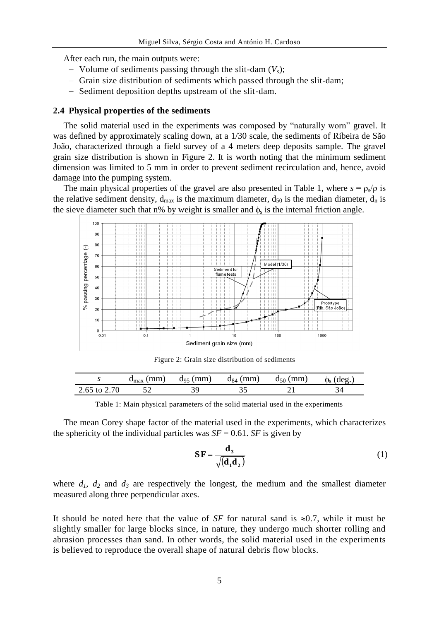After each run, the main outputs were:

- Volume of sediments passing through the slit-dam  $(V_s)$ ;
- Grain size distribution of sediments which passed through the slit-dam;
- Sediment deposition depths upstream of the slit-dam.

#### **2.4 Physical properties of the sediments**

The solid material used in the experiments was composed by "naturally worn" gravel. It was defined by approximately scaling down, at a 1/30 scale, the sediments of Ribeira de São João, characterized through a field survey of a 4 meters deep deposits sample. The gravel grain size distribution is shown in Figure 2. It is worth noting that the minimum sediment dimension was limited to 5 mm in order to prevent sediment recirculation and, hence, avoid damage into the pumping system.

The main physical properties of the gravel are also presented in Table 1, where  $s = \rho_s/\rho$  is the relative sediment density,  $d_{max}$  is the maximum diameter,  $d_{50}$  is the median diameter,  $d_n$  is the sieve diameter such that n% by weight is smaller and  $\phi_s$  is the internal friction angle.



Figure 2: Grain size distribution of sediments

|              | $d_{\text{max}}$ (mm) | $d_{95}$ (mm) | $d_{84}$ (mm) | $d_{50}$ (mm) | $\phi_s$ (deg. |
|--------------|-----------------------|---------------|---------------|---------------|----------------|
| 2.65 to 2.70 |                       |               |               |               |                |

Table 1: Main physical parameters of the solid material used in the experiments

The mean Corey shape factor of the material used in the experiments, which characterizes the sphericity of the individual particles was  $SF = 0.61$ . *SF* is given by

$$
\mathbf{SF} = \frac{\mathbf{d}_3}{\sqrt{(\mathbf{d}_1 \mathbf{d}_2)}}\tag{1}
$$

where  $d_1$ ,  $d_2$  and  $d_3$  are respectively the longest, the medium and the smallest diameter measured along three perpendicular axes.

It should be noted here that the value of *SF* for natural sand is  $\approx 0.7$ , while it must be slightly smaller for large blocks since, in nature, they undergo much shorter rolling and abrasion processes than sand. In other words, the solid material used in the experiments is believed to reproduce the overall shape of natural debris flow blocks.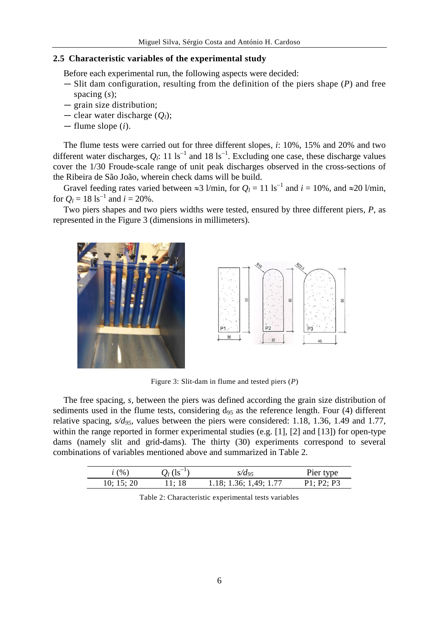## **2.5 Characteristic variables of the experimental study**

Before each experimental run, the following aspects were decided:

- Slit dam configuration, resulting from the definition of the piers shape (*P*) and free spacing (*s*);
- grain size distribution;
- clear water discharge (*Ql*);
- flume slope (*i*).

The flume tests were carried out for three different slopes, *i*: 10%, 15% and 20% and two different water discharges,  $Q_l$ : 11 ls<sup>-1</sup> and 18 ls<sup>-1</sup>. Excluding one case, these discharge values cover the 1/30 Froude-scale range of unit peak discharges observed in the cross-sections of the Ribeira de São João, wherein check dams will be build.

Gravel feeding rates varied between  $\approx 3$  l/min, for  $Q_l = 11 \text{ ls}^{-1}$  and  $i = 10\%$ , and  $\approx 20$  l/min, for  $Q_l = 18 \text{ ls}^{-1}$  and  $i = 20\%$ .

Two piers shapes and two piers widths were tested, ensured by three different piers, *P*, as represented in the Figure 3 (dimensions in millimeters).





Figure 3: Slit-dam in flume and tested piers (*P*)

The free spacing, *s,* between the piers was defined according the grain size distribution of sediments used in the flume tests, considering  $d_{95}$  as the reference length. Four (4) different relative spacing, *s/d95,* values between the piers were considered: 1.18, 1.36, 1.49 and 1.77, within the range reported in former experimental studies (e.g. [1], [2] and [13]) for open-type dams (namely slit and grid-dams). The thirty (30) experiments correspond to several combinations of variables mentioned above and summarized in Table 2.

| i(%)       | $Q_l$ (1s <sup>-1</sup> ) | $s/d_{95}$             | Pier type  |
|------------|---------------------------|------------------------|------------|
| 10; 15; 20 | 11: 18                    | 1.18; 1.36; 1.49; 1.77 | P1: P2: P3 |

Table 2: Characteristic experimental tests variables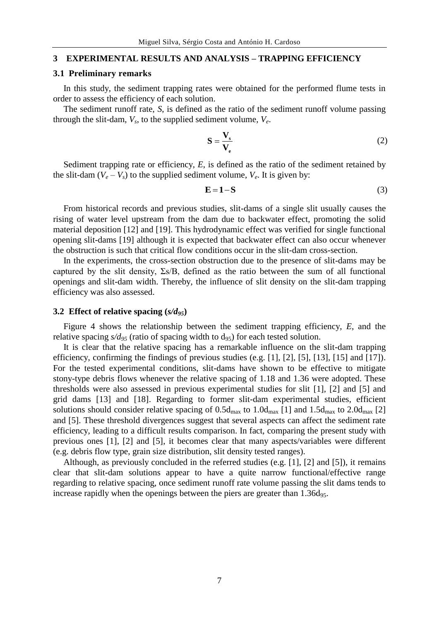#### **3 EXPERIMENTAL RESULTS AND ANALYSIS – TRAPPING EFFICIENCY**

## **3.1 Preliminary remarks**

In this study, the sediment trapping rates were obtained for the performed flume tests in order to assess the efficiency of each solution.

The sediment runoff rate, *S*, is defined as the ratio of the sediment runoff volume passing through the slit-dam,  $V_s$ , to the supplied sediment volume,  $V_e$ .

$$
S = \frac{V_s}{V_e} \tag{2}
$$

Sediment trapping rate or efficiency, *E*, is defined as the ratio of the sediment retained by the slit-dam  $(V_e - V_s)$  to the supplied sediment volume,  $V_e$ . It is given by:

$$
\mathbf{E} = \mathbf{1} - \mathbf{S} \tag{3}
$$

From historical records and previous studies, slit-dams of a single slit usually causes the rising of water level upstream from the dam due to backwater effect, promoting the solid material deposition [12] and [19]. This hydrodynamic effect was verified for single functional opening slit-dams [19] although it is expected that backwater effect can also occur whenever the obstruction is such that critical flow conditions occur in the slit-dam cross-section.

In the experiments, the cross-section obstruction due to the presence of slit-dams may be captured by the slit density,  $\Sigma s/B$ , defined as the ratio between the sum of all functional openings and slit-dam width. Thereby, the influence of slit density on the slit-dam trapping efficiency was also assessed.

#### **3.2 Effect of relative spacing (***s/d95***)**

Figure 4 shows the relationship between the sediment trapping efficiency, *E*, and the relative spacing  $s/d_{95}$  (ratio of spacing width to  $d_{95}$ ) for each tested solution.

It is clear that the relative spacing has a remarkable influence on the slit-dam trapping efficiency, confirming the findings of previous studies (e.g. [1], [2], [5], [13], [15] and [17]). For the tested experimental conditions, slit-dams have shown to be effective to mitigate stony-type debris flows whenever the relative spacing of 1.18 and 1.36 were adopted. These thresholds were also assessed in previous experimental studies for slit [1], [2] and [5] and grid dams [13] and [18]. Regarding to former slit-dam experimental studies, efficient solutions should consider relative spacing of  $0.5d_{\text{max}}$  to  $1.0d_{\text{max}}$  [1] and  $1.5d_{\text{max}}$  to  $2.0d_{\text{max}}$  [2] and [5]. These threshold divergences suggest that several aspects can affect the sediment rate efficiency, leading to a difficult results comparison. In fact, comparing the present study with previous ones [1], [2] and [5], it becomes clear that many aspects/variables were different (e.g. debris flow type, grain size distribution, slit density tested ranges).

Although, as previously concluded in the referred studies (e.g. [1], [2] and [5]), it remains clear that slit-dam solutions appear to have a quite narrow functional/effective range regarding to relative spacing, once sediment runoff rate volume passing the slit dams tends to increase rapidly when the openings between the piers are greater than  $1.36d_{95}$ .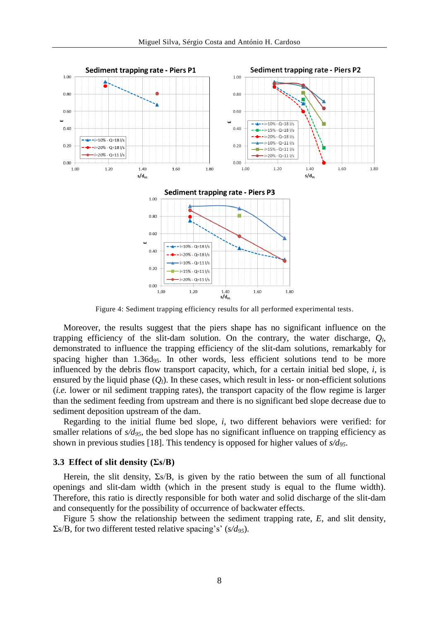

Figure 4: Sediment trapping efficiency results for all performed experimental tests.

Moreover, the results suggest that the piers shape has no significant influence on the trapping efficiency of the slit-dam solution. On the contrary, the water discharge, *Q<sup>l</sup>* , demonstrated to influence the trapping efficiency of the slit-dam solutions, remarkably for spacing higher than  $1.36d_{95}$ . In other words, less efficient solutions tend to be more influenced by the debris flow transport capacity, which, for a certain initial bed slope, *i*, is ensured by the liquid phase  $(Q_l)$ . In these cases, which result in less- or non-efficient solutions (*i.e.* lower or nil sediment trapping rates), the transport capacity of the flow regime is larger than the sediment feeding from upstream and there is no significant bed slope decrease due to sediment deposition upstream of the dam.

Regarding to the initial flume bed slope, *i*, two different behaviors were verified: for smaller relations of  $s/d_{95}$ , the bed slope has no significant influence on trapping efficiency as shown in previous studies [18]. This tendency is opposed for higher values of *s/d95*.

#### **3.3 Effect of slit density (Σs/B)**

Herein, the slit density,  $\Sigma s/B$ , is given by the ratio between the sum of all functional openings and slit-dam width (which in the present study is equal to the flume width). Therefore, this ratio is directly responsible for both water and solid discharge of the slit-dam and consequently for the possibility of occurrence of backwater effects.

Figure 5 show the relationship between the sediment trapping rate, *E*, and slit density, Σs/B, for two different tested relative spacing's' (*s/d95*).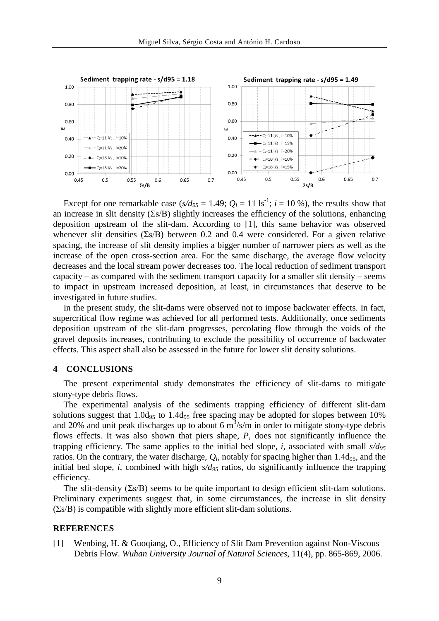

Except for one remarkable case  $(s/d_{95} = 1.49; Q_l = 11 \text{ ls}^{-1}; i = 10 \text{ %})$ , the results show that an increase in slit density  $(\Sigma s/B)$  slightly increases the efficiency of the solutions, enhancing deposition upstream of the slit-dam. According to [1], this same behavior was observed whenever slit densities  $(\Sigma s/B)$  between 0.2 and 0.4 were considered. For a given relative spacing, the increase of slit density implies a bigger number of narrower piers as well as the increase of the open cross-section area. For the same discharge, the average flow velocity decreases and the local stream power decreases too. The local reduction of sediment transport capacity – as compared with the sediment transport capacity for a smaller slit density – seems to impact in upstream increased deposition, at least, in circumstances that deserve to be investigated in future studies.

In the present study, the slit-dams were observed not to impose backwater effects. In fact, supercritical flow regime was achieved for all performed tests. Additionally, once sediments deposition upstream of the slit-dam progresses, percolating flow through the voids of the gravel deposits increases, contributing to exclude the possibility of occurrence of backwater effects. This aspect shall also be assessed in the future for lower slit density solutions.

#### **4 CONCLUSIONS**

The present experimental study demonstrates the efficiency of slit-dams to mitigate stony-type debris flows.

The experimental analysis of the sediments trapping efficiency of different slit-dam solutions suggest that  $1.0d_{95}$  to  $1.4d_{95}$  free spacing may be adopted for slopes between 10% and 20% and unit peak discharges up to about 6  $\text{m}^3/\text{s/m}$  in order to mitigate stony-type debris flows effects. It was also shown that piers shape, *P*, does not significantly influence the trapping efficiency. The same applies to the initial bed slope, *i,* associated with small *s/d<sup>95</sup>* ratios. On the contrary, the water discharge,  $Q_l$ , notably for spacing higher than 1.4d<sub>95</sub>, and the initial bed slope, *i*, combined with high *s/d<sup>95</sup>* ratios, do significantly influence the trapping efficiency.

The slit-density  $(\Sigma s/B)$  seems to be quite important to design efficient slit-dam solutions. Preliminary experiments suggest that, in some circumstances, the increase in slit density  $(\Sigma s/B)$  is compatible with slightly more efficient slit-dam solutions.

#### **REFERENCES**

[1] Wenbing, H. & Guoqiang, O., Efficiency of Slit Dam Prevention against Non-Viscous Debris Flow. *Wuhan University Journal of Natural Sciences*, 11(4), pp. 865-869, 2006.